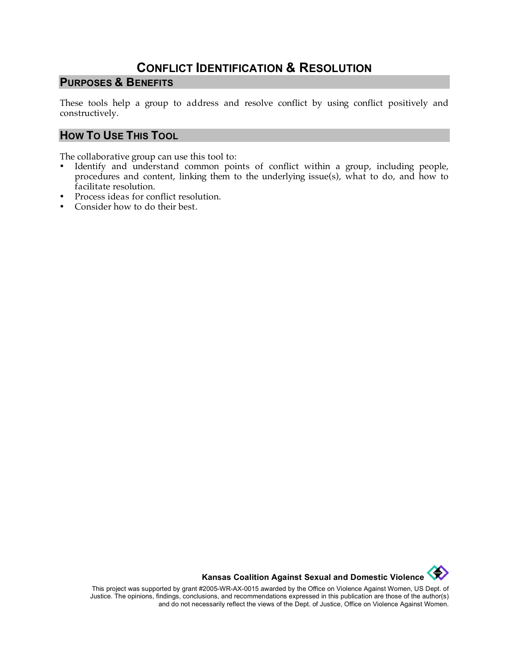# **CONFLICT IDENTIFICATION & RESOLUTION**

#### **PURPOSES & BENEFITS**

These tools help a group to address and resolve conflict by using conflict positively and constructively.

### **HOW TO USE THIS TOOL**

The collaborative group can use this tool to:

- Identify and understand common points of conflict within a group, including people, procedures and content, linking them to the underlying issue(s), what to do, and how to facilitate resolution.
- Process ideas for conflict resolution.
- Consider how to do their best.



This project was supported by grant #2005-WR-AX-0015 awarded by the Office on Violence Against Women, US Dept. of Justice. The opinions, findings, conclusions, and recommendations expressed in this publication are those of the author(s) and do not necessarily reflect the views of the Dept. of Justice, Office on Violence Against Women.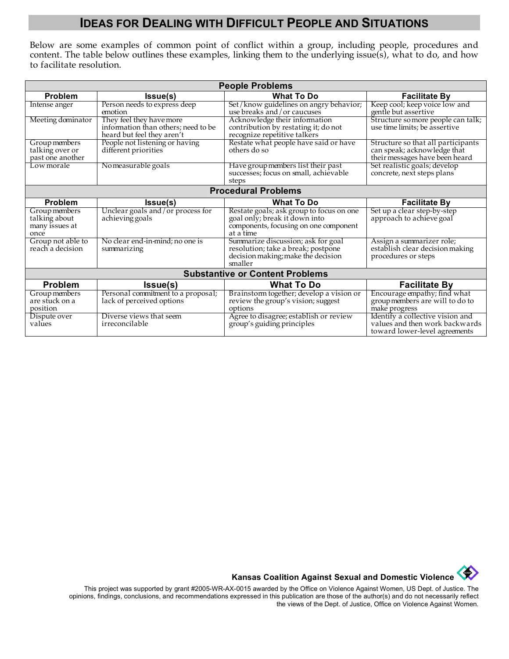## **IDEAS FOR DEALING WITH DIFFICULT PEOPLE AND SITUATIONS**

Below are some examples of common point of conflict within a group, including people, procedures and content. The table below outlines these examples, linking them to the underlying issue(s), what to do, and how to facilitate resolution.

| <b>People Problems</b>                                   |                                                                                               |                                                                                                                                 |                                                                                                     |
|----------------------------------------------------------|-----------------------------------------------------------------------------------------------|---------------------------------------------------------------------------------------------------------------------------------|-----------------------------------------------------------------------------------------------------|
| Problem                                                  | Issue(s)                                                                                      | <b>What To Do</b>                                                                                                               | <b>Facilitate By</b>                                                                                |
| Intense anger                                            | Person needs to express deep<br>emotion                                                       | Set/know guidelines on angry behavior;<br>use breaks and/or caucuses                                                            | Keep cool; keep voice low and<br>gentle but assertive                                               |
| Meeting dominator                                        | They feel they have more<br>information than others; need to be<br>heard but feel they aren't | Acknowledge their information<br>contribution by restating it; do not<br>recognize repetitive talkers                           | Structure so more people can talk;<br>use time limits; be assertive                                 |
| Group members<br>talking over or<br>past one another     | People not listening or having<br>different priorities                                        | Restate what people have said or have<br>others do so                                                                           | Structure so that all participants<br>can speak; acknowledge that<br>their messages have been heard |
| Low morale                                               | Nomeasurable goals                                                                            | Have group members list their past<br>successes; focus on small, achievable<br>steps                                            | Set realistic goals; develop<br>concrete, next steps plans                                          |
| <b>Procedural Problems</b>                               |                                                                                               |                                                                                                                                 |                                                                                                     |
| Problem                                                  | <b>Issue(s)</b>                                                                               | <b>What To Do</b>                                                                                                               | <b>Facilitate By</b>                                                                                |
| Group members<br>talking about<br>many issues at<br>once | Unclear goals and/or process for<br>achieving goals                                           | Restate goals; ask group to focus on one<br>goal only; break it down into<br>components, focusing on one component<br>at a time | Set up a clear step-by-step<br>approach to achieve goal                                             |
| Group not able to<br>reach a decision                    | No clear end-in-mind; no one is<br>summarizing                                                | Summarize discussion; ask for goal<br>resolution; take a break; postpone<br>decision making; make the decision<br>smaller       | Assign a summarizer role;<br>establish clear decision making<br>procedures or steps                 |
| <b>Substantive or Content Problems</b>                   |                                                                                               |                                                                                                                                 |                                                                                                     |
| Problem                                                  | Issue(s)                                                                                      | <b>What To Do</b>                                                                                                               | <b>Facilitate By</b>                                                                                |
| Group members<br>are stuck on a<br>position              | Personal commitment to a proposal;<br>lack of perceived options                               | Brainstorm together; develop a vision or<br>review the group's vision; suggest<br>options                                       | Encourage empathy; find what<br>group members are will to do to<br>make progress                    |
| Dispute over<br>values                                   | Diverse views that seem<br>irreconcilable                                                     | Agree to disagree; establish or review<br>group's guiding principles                                                            | Identify a collective vision and<br>values and then work backwards<br>toward lower-level agreements |

**Kansas Coalition Against Sexual and Domestic Violence** 

This project was supported by grant #2005-WR-AX-0015 awarded by the Office on Violence Against Women, US Dept. of Justice. The opinions, findings, conclusions, and recommendations expressed in this publication are those of the author(s) and do not necessarily reflect the views of the Dept. of Justice, Office on Violence Against Women.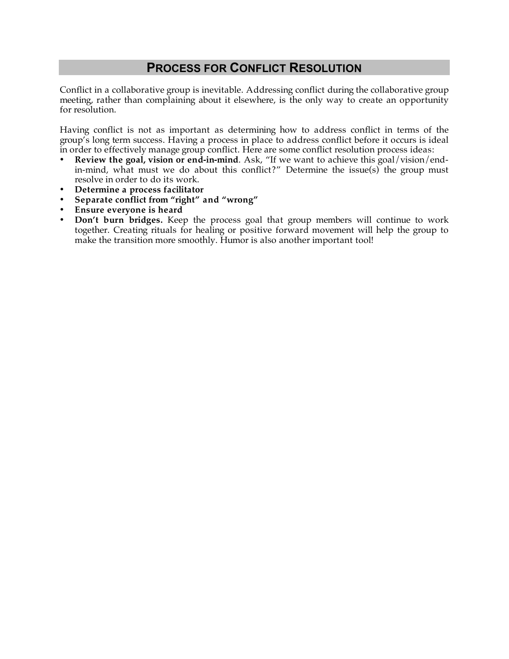### **PROCESS FOR CONFLICT RESOLUTION**

Conflict in a collaborative group is inevitable. Addressing conflict during the collaborative group meeting, rather than complaining about it elsewhere, is the only way to create an opportunity for resolution.

Having conflict is not as important as determining how to address conflict in terms of the group's long term success. Having a process in place to address conflict before it occurs is ideal in order to effectively manage group conflict. Here are some conflict resolution process ideas:

- **Review the goal, vision or end-in-mind**. Ask, "If we want to achieve this goal/vision/endin-mind, what must we do about this conflict?" Determine the issue(s) the group must resolve in order to do its work.
- **Determine a process facilitator**
- **Separate conflict from "right" and "wrong"**
- **Ensure everyone is heard**
- **Don't burn bridges.** Keep the process goal that group members will continue to work together. Creating rituals for healing or positive forward movement will help the group to make the transition more smoothly. Humor is also another important tool!